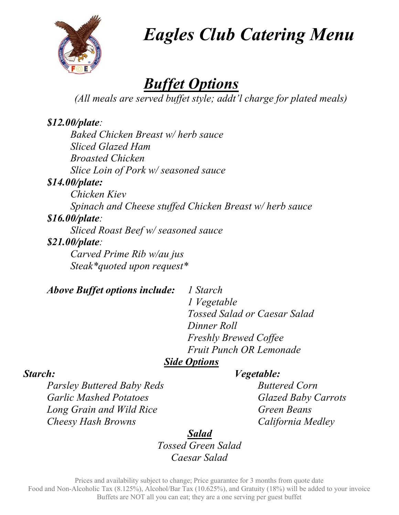

Eagles Club Catering Menu

## Buffet Options

(All meals are served buffet style; addt'l charge for plated meals)

#### \$12.00/plate:

Baked Chicken Breast w/ herb sauce Sliced Glazed Ham Broasted Chicken Slice Loin of Pork w/ seasoned sauce

#### \$14.00/plate:

Chicken Kiev Spinach and Cheese stuffed Chicken Breast w/ herb sauce \$16.00/plate: Sliced Roast Beef w/ seasoned sauce

#### \$21.00/plate:

Carved Prime Rib w/au jus Steak\*quoted upon request\*

Above Buffet options include: 1 Starch

 1 Vegetable Tossed Salad or Caesar Salad Dinner Roll Freshly Brewed Coffee Fruit Punch OR Lemonade

#### **Side Options**

#### Starch: Vegetable:

Parsley Buttered Baby Reds Buttered Corn Garlic Mashed Potatoes Glazed Baby Carrots Long Grain and Wild Rice Green Beans Cheesy Hash Browns California Medley

Salad Tossed Green Salad Caesar Salad

Prices and availability subject to change; Price guarantee for 3 months from quote date Food and Non-Alcoholic Tax (8.125%), Alcohol/Bar Tax (10.625%), and Gratuity (18%) will be added to your invoice Buffets are NOT all you can eat; they are a one serving per guest buffet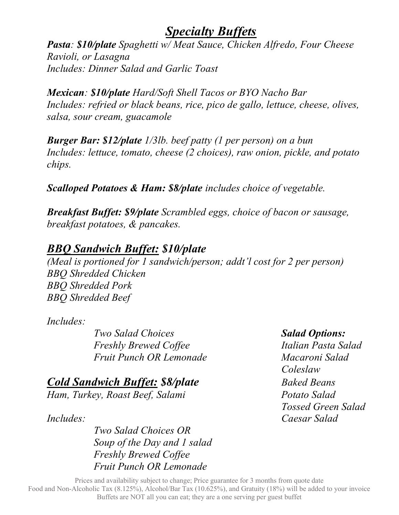#### Specialty Buffets

Pasta: \$10/plate Spaghetti w/ Meat Sauce, Chicken Alfredo, Four Cheese Ravioli, or Lasagna Includes: Dinner Salad and Garlic Toast

Mexican: \$10/plate Hard/Soft Shell Tacos or BYO Nacho Bar Includes: refried or black beans, rice, pico de gallo, lettuce, cheese, olives, salsa, sour cream, guacamole

Burger Bar: \$12/plate 1/3lb. beef patty (1 per person) on a bun Includes: lettuce, tomato, cheese (2 choices), raw onion, pickle, and potato chips.

Scalloped Potatoes & Ham: \$8/plate includes choice of vegetable.

Breakfast Buffet: \$9/plate Scrambled eggs, choice of bacon or sausage, breakfast potatoes, & pancakes.

#### BBQ Sandwich Buffet: \$10/plate

(Meal is portioned for 1 sandwich/person; addt'l cost for 2 per person) BBQ Shredded Chicken BBQ Shredded Pork BBQ Shredded Beef

Includes:

Two Salad Choices Salad Options: Freshly Brewed Coffee Italian Pasta Salad Fruit Punch OR Lemonade Macaroni Salad

**Cold Sandwich Buffet: \$8/plate** Baked Beans Ham, Turkey, Roast Beef, Salami Potato Salad

Includes: Caesar Salad

 Two Salad Choices OR Soup of the Day and 1 salad Freshly Brewed Coffee Fruit Punch OR Lemonade

**Coleslaw** Tossed Green Salad

Prices and availability subject to change; Price guarantee for 3 months from quote date Food and Non-Alcoholic Tax (8.125%), Alcohol/Bar Tax (10.625%), and Gratuity (18%) will be added to your invoice Buffets are NOT all you can eat; they are a one serving per guest buffet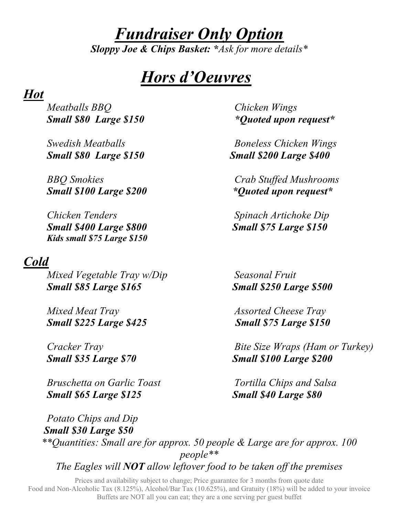# Fundraiser Only Option

Sloppy Joe & Chips Basket: \* Ask for more details \*

# Hors d'Oeuvres

#### Hot

Meatballs BBQ Chicken Wings

Small \$100 Large \$200 \*Quoted upon request\*

Chicken Tenders Spinach Artichoke Dip Small \$400 Large \$800 Small \$75 Large \$150 Kids small \$75 Large \$150

#### Cold

Mixed Vegetable Tray w/Dip Seasonal Fruit Small \$85 Large \$165 Small \$250 Large \$500

Mixed Meat Tray Assorted Cheese Tray Small \$225 Large \$425 Small \$75 Large \$150

Bruschetta on Garlic Toast Tortilla Chips and Salsa Small \$65 Large \$125 Small \$40 Large \$80

Small \$80 Large \$150 \* The solution of the Small \$80 Large \$150

Swedish Meatballs **Boneless Chicken Wings** Small \$80 Large \$150 Small \$200 Large \$400

BBQ Smokies Crab Stuffed Mushrooms

Cracker Tray Bite Size Wraps (Ham or Turkey) Small \$35 Large \$70 Small \$100 Large \$200

Potato Chips and Dip Small \$30 Large \$50 \*\*Quantities: Small are for approx. 50 people & Large are for approx. 100 people\*\* The Eagles will  $NOT$  allow leftover food to be taken off the premises

Prices and availability subject to change; Price guarantee for 3 months from quote date Food and Non-Alcoholic Tax (8.125%), Alcohol/Bar Tax (10.625%), and Gratuity (18%) will be added to your invoice Buffets are NOT all you can eat; they are a one serving per guest buffet